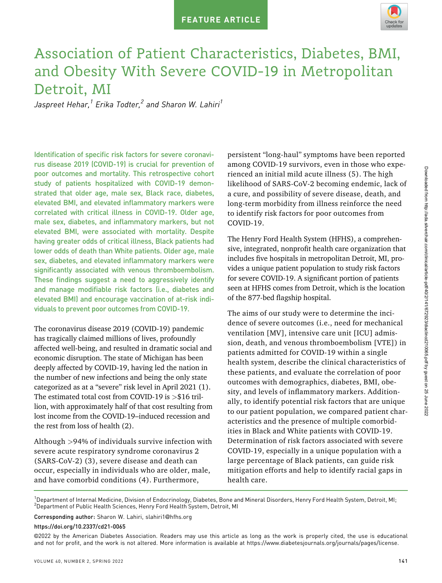

# Association of Patient Characteristics, Diabetes, BMI, and Obesity With Severe COVID-19 in Metropolitan Detroit, MI

Jaspreet Hehar, $^1$  Erika Todter, $^2$  and Sharon W. Lahiri $^1$ 

Identification of specific risk factors for severe coronavirus disease 2019 (COVID-19) is crucial for prevention of poor outcomes and mortality. This retrospective cohort study of patients hospitalized with COVID-19 demonstrated that older age, male sex, Black race, diabetes, elevated BMI, and elevated inflammatory markers were correlated with critical illness in COVID-19. Older age, male sex, diabetes, and inflammatory markers, but not elevated BMI, were associated with mortality. Despite having greater odds of critical illness, Black patients had lower odds of death than White patients. Older age, male sex, diabetes, and elevated inflammatory markers were significantly associated with venous thromboembolism. These findings suggest a need to aggressively identify and manage modifiable risk factors (i.e., diabetes and elevated BMI) and encourage vaccination of at-risk individuals to prevent poor outcomes from COVID-19.

The coronavirus disease 2019 (COVID-19) pandemic has tragically claimed millions of lives, profoundly affected well-being, and resulted in dramatic social and economic disruption. The state of Michigan has been deeply affected by COVID-19, having led the nation in the number of new infections and being the only state categorized as at a "severe" risk level in April 2021 (1). The estimated total cost from COVID-19 is  $>\$16$  trillion, with approximately half of that cost resulting from lost income from the COVID-19–induced recession and the rest from loss of health (2).

Although >94% of individuals survive infection with severe acute respiratory syndrome coronavirus 2 (SARS-CoV-2) (3), severe disease and death can occur, especially in individuals who are older, male, and have comorbid conditions (4). Furthermore,

persistent "long-haul" symptoms have been reported among COVID-19 survivors, even in those who experienced an initial mild acute illness (5). The high likelihood of SARS-CoV-2 becoming endemic, lack of a cure, and possibility of severe disease, death, and long-term morbidity from illness reinforce the need to identify risk factors for poor outcomes from COVID-19.

The Henry Ford Health System (HFHS), a comprehensive, integrated, nonprofit health care organization that includes five hospitals in metropolitan Detroit, MI, provides a unique patient population to study risk factors for severe COVID-19. A significant portion of patients seen at HFHS comes from Detroit, which is the location of the 877-bed flagship hospital.

The aims of our study were to determine the incidence of severe outcomes (i.e., need for mechanical ventilation [MV], intensive care unit [ICU] admission, death, and venous thromboembolism [VTE]) in patients admitted for COVID-19 within a single health system, describe the clinical characteristics of these patients, and evaluate the correlation of poor outcomes with demographics, diabetes, BMI, obesity, and levels of inflammatory markers. Additionally, to identify potential risk factors that are unique to our patient population, we compared patient characteristics and the presence of multiple comorbidities in Black and White patients with COVID-19. Determination of risk factors associated with severe COVID-19, especially in a unique population with a large percentage of Black patients, can guide risk mitigation efforts and help to identify racial gaps in health care.

<sup>1</sup>Department of Internal Medicine, Division of Endocrinology, Diabetes, Bone and Mineral Disorders, Henry Ford Health System, Detroit, MI; 2 Department of Public Health Sciences, Henry Ford Health System, Detroit, MI

Corresponding author: Sharon W. Lahiri, slahiri1@[hfhs.org](mailto:slahiri1@hfhs.org)

https://doi.org/10.2337/cd21-0065

©2022 by the American Diabetes Association. Readers may use this article as long as the work is properly cited, the use is educational and not for profit, and the work is not altered. More information is available at<https://www.diabetesjournals.org/journals/pages/license>.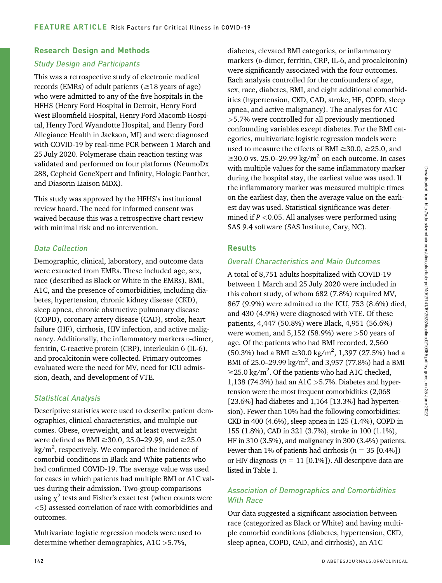### Research Design and Methods

#### Study Design and Participants

This was a retrospective study of electronic medical records (EMRs) of adult patients ( $\geq$ 18 years of age) who were admitted to any of the five hospitals in the HFHS (Henry Ford Hospital in Detroit, Henry Ford West Bloomfield Hospital, Henry Ford Macomb Hospital, Henry Ford Wyandotte Hospital, and Henry Ford Allegiance Health in Jackson, MI) and were diagnosed with COVID-19 by real-time PCR between 1 March and 25 July 2020. Polymerase chain reaction testing was validated and performed on four platforms (NeumoDx 288, Cepheid GeneXpert and Infinity, Hologic Panther, and Diasorin Liaison MDX).

This study was approved by the HFHS's institutional review board. The need for informed consent was waived because this was a retrospective chart review with minimal risk and no intervention.

## Data Collection

Demographic, clinical, laboratory, and outcome data were extracted from EMRs. These included age, sex, race (described as Black or White in the EMRs), BMI, A1C, and the presence of comorbidities, including diabetes, hypertension, chronic kidney disease (CKD), sleep apnea, chronic obstructive pulmonary disease (COPD), coronary artery disease (CAD), stroke, heart failure (HF), cirrhosis, HIV infection, and active malignancy. Additionally, the inflammatory markers p-dimer, ferritin, C-reactive protein (CRP), interleukin 6 (IL-6), and procalcitonin were collected. Primary outcomes evaluated were the need for MV, need for ICU admission, death, and development of VTE.

# Statistical Analysis

Descriptive statistics were used to describe patient demographics, clinical characteristics, and multiple outcomes. Obese, overweight, and at least overweight were defined as BMI  $\geq$ 30.0, 25.0–29.99, and  $\geq$ 25.0 kg/m<sup>2</sup>, respectively. We compared the incidence of comorbid conditions in Black and White patients who had confirmed COVID-19. The average value was used for cases in which patients had multiple BMI or A1C values during their admission. Two-group comparisons using  $\chi^2$  tests and Fisher's exact test (when counts were <5) assessed correlation of race with comorbidities and outcomes.

Multivariate logistic regression models were used to determine whether demographics, A1C >5.7%,

diabetes, elevated BMI categories, or inflammatory markers (p-dimer, ferritin, CRP, IL-6, and procalcitonin) were significantly associated with the four outcomes. Each analysis controlled for the confounders of age, sex, race, diabetes, BMI, and eight additional comorbidities (hypertension, CKD, CAD, stroke, HF, COPD, sleep apnea, and active malignancy). The analyses for A1C >5.7% were controlled for all previously mentioned confounding variables except diabetes. For the BMI categories, multivariate logistic regression models were used to measure the effects of BMI  $\geq$ 30.0,  $\geq$ 25.0, and  $\geq$ 30.0 vs. 25.0–29.99 kg/m<sup>2</sup> on each outcome. In cases with multiple values for the same inflammatory marker during the hospital stay, the earliest value was used. If the inflammatory marker was measured multiple times on the earliest day, then the average value on the earliest day was used. Statistical significance was determined if  $P < 0.05$ . All analyses were performed using SAS 9.4 software (SAS Institute, Cary, NC).

# Results

## Overall Characteristics and Main Outcomes

A total of 8,751 adults hospitalized with COVID-19 between 1 March and 25 July 2020 were included in this cohort study, of whom 682 (7.8%) required MV, 867 (9.9%) were admitted to the ICU, 753 (8.6%) died, and 430 (4.9%) were diagnosed with VTE. Of these patients, 4,447 (50.8%) were Black, 4,951 (56.6%) were women, and  $5,152$  (58.9%) were  $>50$  years of age. Of the patients who had BMI recorded, 2,560 (50.3%) had a BMI  $\geq$ 30.0 kg/m<sup>2</sup>, 1,397 (27.5%) had a BMI of 25.0–29.99 kg/m<sup>2</sup>, and 3,957 (77.8%) had a BMI  $\geq$ 25.0 kg/m<sup>2</sup>. Of the patients who had A1C checked, 1,138 (74.3%) had an A1C >5.7%. Diabetes and hypertension were the most frequent comorbidities (2,068 [23.6%] had diabetes and 1,164 [13.3%] had hypertension). Fewer than 10% had the following comorbidities: CKD in 400 (4.6%), sleep apnea in 125 (1.4%), COPD in 155 (1.8%), CAD in 321 (3.7%), stroke in 100 (1.1%), HF in 310 (3.5%), and malignancy in 300 (3.4%) patients. Fewer than 1% of patients had cirrhosis ( $n = 35$  [0.4%]) or HIV diagnosis ( $n = 11$  [0.1%]). All descriptive data are listed in Table 1.

# Association of Demographics and Comorbidities With Race

Our data suggested a significant association between race (categorized as Black or White) and having multiple comorbid conditions (diabetes, hypertension, CKD, sleep apnea, COPD, CAD, and cirrhosis), an A1C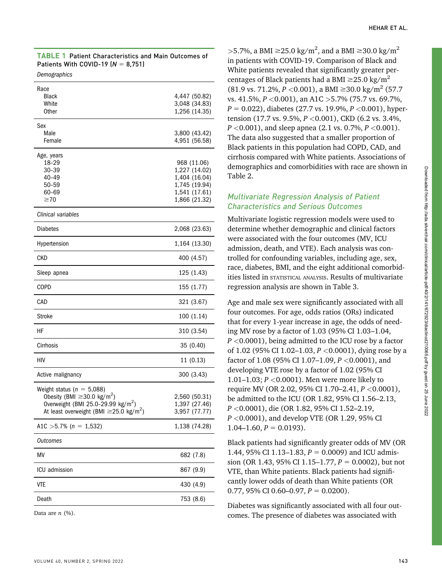| <b>TABLE 1</b> Patient Characteristics and Main Outcomes of |
|-------------------------------------------------------------|
| Patients With COVID-19 ( $N = 8.751$ )                      |
|                                                             |

| Race                                                     |                                |
|----------------------------------------------------------|--------------------------------|
| <b>Black</b>                                             | 4,447 (50.82)                  |
| White                                                    | 3,048 (34.83)                  |
| <b>Other</b>                                             | 1,256 (14.35)                  |
| Sex                                                      |                                |
| Male                                                     | 3,800 (43.42)                  |
| Female                                                   | 4,951 (56.58)                  |
| Age, years                                               |                                |
| 18-29                                                    | 968 (11.06)                    |
| 30-39                                                    | 1,227 (14.02)                  |
| 40-49                                                    | 1,404 (16.04)                  |
| $50 - 59$<br>60-69                                       | 1,745 (19.94)<br>1,541 (17.61) |
| $\geq 70$                                                | 1,866 (21.32)                  |
| Clinical variables                                       |                                |
|                                                          |                                |
| Diabetes                                                 | 2,068 (23.63)                  |
| Hypertension                                             | 1,164 (13.30)                  |
| CKD                                                      | 400 (4.57)                     |
| Sleep apnea                                              | 125 (1.43)                     |
| COPD                                                     | 155 (1.77)                     |
| CAD                                                      | 321 (3.67)                     |
| Stroke                                                   | 100 (1.14)                     |
| НF                                                       | 310 (3.54)                     |
| Cirrhosis                                                | 35 (0.40)                      |
| HIV                                                      | 11 (0.13)                      |
| Active malignancy                                        | 300 (3.43)                     |
| Weight status ( $n = 5,088$ )                            |                                |
| Obesity (BMI $\geq$ 30.0 kg/m <sup>2</sup> )             | 2,560 (50.31)                  |
| Overweight (BMI 25.0-29.99 kg/m <sup>2</sup> )           | 1,397 (27.46)                  |
| At least overweight (BMI $\geq$ 25.0 kg/m <sup>2</sup> ) | 3,957 (77.77)                  |
| A1C > 5.7% ( $n = 1,532$ )                               | 1,138 (74.28)                  |
| <b>Outcomes</b>                                          |                                |
| MV                                                       | 682 (7.8)                      |
| ICU admission                                            | 867 (9.9)                      |
| <b>VTE</b>                                               | 430 (4.9)                      |
| Death                                                    | 753 (8.6)                      |
|                                                          |                                |

Data are  $n$  (%).

>5.7%, a BMI  $\geq$ 25.0 kg/m<sup>2</sup>, and a BMI  $\geq$ 30.0 kg/m<sup>2</sup> in patients with COVID-19. Comparison of Black and White patients revealed that significantly greater percentages of Black patients had a BMI  $\geq$ 25.0 kg/m<sup>2</sup>  $(81.9 \text{ vs. } 71.2\%, P < 0.001), \text{ a BMI } \geq 30.0 \text{ kg/m}^2 \ (57.7)$ vs. 41.5%,  $P < 0.001$ ), an A1C > 5.7% (75.7 vs. 69.7%,  $P = 0.022$ ), diabetes (27.7 vs. 19.9%,  $P < 0.001$ ), hypertension (17.7 vs. 9.5%,  $P < 0.001$ ), CKD (6.2 vs. 3.4%,  $P < 0.001$ , and sleep apnea (2.1 vs. 0.7%,  $P < 0.001$ ). The data also suggested that a smaller proportion of Black patients in this population had COPD, CAD, and cirrhosis compared with White patients. Associations of demographics and comorbidities with race are shown in Table 2.

### Multivariate Regression Analysis of Patient Characteristics and Serious Outcomes

Multivariate logistic regression models were used to determine whether demographic and clinical factors were associated with the four outcomes (MV, ICU admission, death, and VTE). Each analysis was controlled for confounding variables, including age, sex, race, diabetes, BMI, and the eight additional comorbidities listed in STATISTICAL ANALYSIS. Results of multivariate regression analysis are shown in Table 3.

Age and male sex were significantly associated with all four outcomes. For age, odds ratios (ORs) indicated that for every 1-year increase in age, the odds of needing MV rose by a factor of 1.03 (95% CI 1.03–1.04,  $P < 0.0001$ , being admitted to the ICU rose by a factor of 1.02 (95% CI 1.02–1.03,  $P < 0.0001$ ), dying rose by a factor of 1.08 (95% CI 1.07-1.09,  $P < 0.0001$ ), and developing VTE rose by a factor of 1.02 (95% CI 1.01–1.03; P <0.0001). Men were more likely to require MV (OR 2.02, 95% CI 1.70–2.41, P <0.0001), be admitted to the ICU (OR 1.82, 95% CI 1.56–2.13, P <0.0001), die (OR 1.82, 95% CI 1.52–2.19, P <0.0001), and develop VTE (OR 1.29, 95% CI  $1.04-1.60, P = 0.0193$ .

Black patients had significantly greater odds of MV (OR 1.44, 95% CI 1.13–1.83,  $P = 0.0009$ ) and ICU admission (OR 1.43, 95% CI 1.15–1.77,  $P = 0.0002$ ), but not VTE, than White patients. Black patients had significantly lower odds of death than White patients (OR 0.77, 95% CI 0.60–0.97,  $P = 0.0200$ ).

Diabetes was significantly associated with all four outcomes. The presence of diabetes was associated with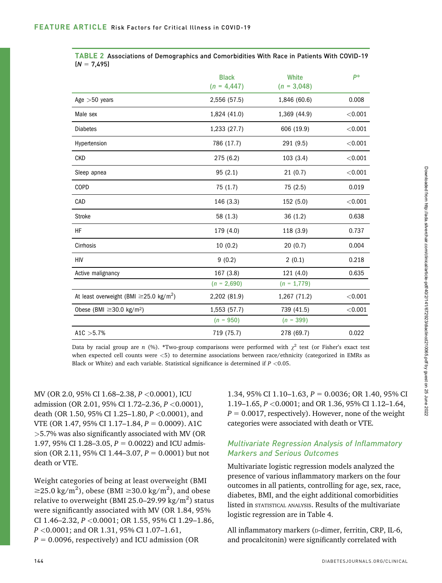|                                                          | <b>Black</b><br>$(n = 4, 447)$ | White<br>$(n = 3,048)$ | p*      |
|----------------------------------------------------------|--------------------------------|------------------------|---------|
| Age $>50$ years                                          | 2,556 (57.5)                   | 1,846 (60.6)           | 0.008   |
| Male sex                                                 | 1,824 (41.0)                   | 1,369 (44.9)           | < 0.001 |
| <b>Diabetes</b>                                          | 1,233 (27.7)                   | 606 (19.9)             | < 0.001 |
| Hypertension                                             | 786 (17.7)                     | 291 (9.5)              | < 0.001 |
| <b>CKD</b>                                               | 275 (6.2)                      | 103(3.4)               | < 0.001 |
| Sleep apnea                                              | 95(2.1)                        | 21(0.7)                | < 0.001 |
| COPD                                                     | 75 (1.7)                       | 75 (2.5)               | 0.019   |
| CAD                                                      | 146 (3.3)                      | 152 (5.0)              | < 0.001 |
| <b>Stroke</b>                                            | 58 (1.3)                       | 36(1.2)                | 0.638   |
| HF                                                       | 179 (4.0)                      | 118 (3.9)              | 0.737   |
| Cirrhosis                                                | 10(0.2)                        | 20(0.7)                | 0.004   |
| HIV                                                      | 9(0.2)                         | 2(0.1)                 | 0.218   |
| Active malignancy                                        | 167 (3.8)                      | 121(4.0)               | 0.635   |
|                                                          | $(n = 2,690)$                  | $(n = 1,779)$          |         |
| At least overweight (BMI $\geq$ 25.0 kg/m <sup>2</sup> ) | 2,202 (81.9)                   | 1,267 (71.2)           | < 0.001 |
| Obese (BMI $\geq$ 30.0 kg/m <sup>2</sup> )               | 1,553 (57.7)                   | 739 (41.5)             | < 0.001 |
|                                                          | $(n = 950)$                    | $(n = 399)$            |         |
| A1C $>5.7%$                                              | 719 (75.7)                     | 278 (69.7)             | 0.022   |

|                | TABLE 2 Associations of Demographics and Comorbidities With Race in Patients With COVID-19 |  |  |  |  |
|----------------|--------------------------------------------------------------------------------------------|--|--|--|--|
| $(N = 7, 495)$ |                                                                                            |  |  |  |  |

Data by racial group are n (%). \*Two-group comparisons were performed with  $\chi^2$  test (or Fisher's exact test when expected cell counts were <5) to determine associations between race/ethnicity (categorized in EMRs as Black or White) and each variable. Statistical significance is determined if  $P < 0.05$ .

MV (OR 2.0, 95% CI 1.68–2.38, P <0.0001), ICU admission (OR 2.01, 95% CI 1.72–2.36, P <0.0001), death (OR 1.50, 95% CI 1.25–1.80,  $P < 0.0001$ ), and VTE (OR 1.47, 95% CI 1.17–1.84,  $P = 0.0009$ ). A1C >5.7% was also significantly associated with MV (OR 1.97, 95% CI 1.28-3.05,  $P = 0.0022$ ) and ICU admission (OR 2.11, 95% CI 1.44–3.07,  $P = 0.0001$ ) but not death or VTE.

Weight categories of being at least overweight (BMI  $\geq$ 25.0 kg/m<sup>2</sup>), obese (BMI  $\geq$ 30.0 kg/m<sup>2</sup>), and obese relative to overweight (BMI 25.0–29.99 kg/m $^2$ ) status were significantly associated with MV (OR 1.84, 95% CI 1.46–2.32,  $P < 0.0001$ ; OR 1.55, 95% CI 1.29–1.86,  $P < 0.0001$ ; and OR 1.31, 95% CI 1.07-1.61,  $P = 0.0096$ , respectively) and ICU admission (OR

1.34, 95% CI 1.10–1.63,  $P = 0.0036$ ; OR 1.40, 95% CI 1.19–1.65, P <0.0001; and OR 1.36, 95% CI 1.12–1.64,  $P = 0.0017$ , respectively). However, none of the weight categories were associated with death or VTE.

#### Multivariate Regression Analysis of Inflammatory Markers and Serious Outcomes

Multivariate logistic regression models analyzed the presence of various inflammatory markers on the four outcomes in all patients, controlling for age, sex, race, diabetes, BMI, and the eight additional comorbidities listed in STATISTICAL ANALYSIS. Results of the multivariate logistic regression are in Table 4.

All inflammatory markers (p-dimer, ferritin, CRP, IL-6, and procalcitonin) were significantly correlated with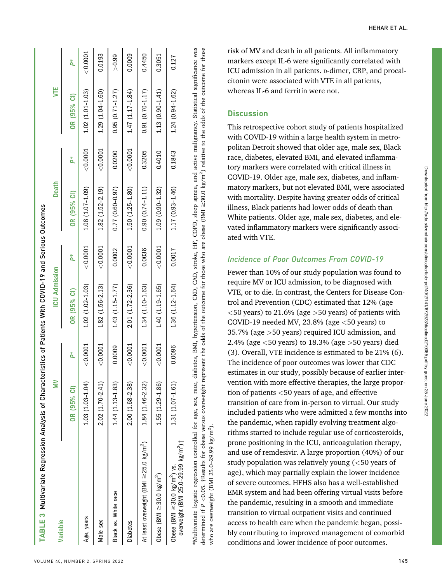| TABLE 3 Multivariate Regression Analysis of Charact                                                                                    |                     |              | teristics of Patients With COVID-19 and Serious Outcomes |              |                     |            |                                                                                                                                                                                                                                                                          |              |
|----------------------------------------------------------------------------------------------------------------------------------------|---------------------|--------------|----------------------------------------------------------|--------------|---------------------|------------|--------------------------------------------------------------------------------------------------------------------------------------------------------------------------------------------------------------------------------------------------------------------------|--------------|
| Variable                                                                                                                               | ≧                   |              | <b>ICU Admission</b>                                     |              | <b>Death</b>        |            | ₿                                                                                                                                                                                                                                                                        |              |
|                                                                                                                                        | OR (95% CI)         | ă            | OR (95% CI)                                              | ă            | OR (95% CI)         | ă          | OR (95% CI)                                                                                                                                                                                                                                                              | ă            |
| Age, years                                                                                                                             | 1.03 (1.03-1.04)    | < 0.0001     | $1.02(1.02 - 1.03)$                                      | < 0.0001     | $1.08(1.07 - 1.09)$ | < 0.0001   | $1.02(1.01 - 1.03)$                                                                                                                                                                                                                                                      | $<$ $0.0001$ |
| Male sex                                                                                                                               | $2.02(1.70 - 2.41)$ | < 0.0001     | $1.82(1.56-2.13)$                                        | $<$ $0.0001$ | $1.82(1.52-2.19)$   | $<$ 0.0001 | $1.29(1.04 - 1.60)$                                                                                                                                                                                                                                                      | 0.0193       |
| Black vs. White race                                                                                                                   | $1.44(1.13-1.83)$   | 0.0009       | $1.43(1.15-1.77)$                                        | 0.0002       | $0.77(0.60 - 0.97)$ | 0.0200     | $0.95(0.71 - 1.27)$                                                                                                                                                                                                                                                      | > 0.99       |
| <b>Diabetes</b>                                                                                                                        | $2.00(1.68 - 2.38)$ | $<$ $0.0001$ | 2.01 (1.72-2.36)                                         | $<\!0.0001$  | 1.50 (1.25-1.80)    | < 0.0001   | $1.47(1.17 - 1.84)$                                                                                                                                                                                                                                                      | 0.0009       |
| At least overweight (BMI ≥25.0 kg/m <sup>2</sup> )                                                                                     | 1.84 (1.46-2.32)    | $<$ $0.0001$ | $1.34(1.10-1.63)$                                        | 0.0036       | $0.90(0.74 - 1.11)$ | 0.3205     | $0.91(0.70 - 1.17)$                                                                                                                                                                                                                                                      | 0.4450       |
| Obese (BMI $\geq$ 30.0 kg/m <sup>2</sup> )                                                                                             | 1.55 (1.29-1.86)    | < 0.0001     | 1.40 (1.19-1.65)                                         | $<$ $0.0001$ | $1.09(0.90 - 1.32)$ | 0.4010     | $1.13(0.90 - 1.41)$                                                                                                                                                                                                                                                      | 0.3051       |
| overweight (BMI 25.0-29.99 kg/m <sup>2</sup> )†<br>Obese (BMI $\geq$ 30.0 kg/m <sup>2</sup> ) vs.                                      | 1.31 (1.07-1.61)    | 0.0096       | $1.36(1.12 - 1.64)$                                      | 0.0017       | $1.17(0.93 - 1.46)$ | 0.1843     | $1.24(0.94 - 1.62)$                                                                                                                                                                                                                                                      | 0.127        |
| determined if $P < 0.05$ . TResults for obese versus overweight re<br>*Multivariate logistic regression controlled for age, sex, race, |                     |              |                                                          |              |                     |            | diabetes, BMI, hypertension, CKD, CAD, stroke, HF, COPD, sleep apnea, and active malignancy. Statistical significance was<br>epresent the odds of the outcome for those who are obese (BMI $\geq$ 30.0 kg/m <sup>2</sup> ) relative to the odds of the outcome for those |              |

Downloaded from http://ada.silverchair.com/clinical/article-pdf/40/2/141/672923/diaclincd210065.pdf by guest on 25 June 2022

Downloaded from http://ada.silverchair.com/clinical/article-pdf/40/2/141/672923/diaclincd210065.pdf by guest on 25 June 2022

risk of MV and death in all patients. All inflammatory markers except IL-6 were significantly correlated with ICU admission in all patients. D-dimer, CRP, and procalcitonin were associated with VTE in all patients, whereas IL-6 and ferritin were not.

#### **Discussion**

who are overweight (BMI 25.0–29.99 kg/m<sup>2</sup>).

who are overweight (BMI 25.0-29.99 kg/m<sup>2</sup>).

This retrospective cohort study of patients hospitalized with COVID-19 within a large health system in metropolitan Detroit showed that older age, male sex, Black race, diabetes, elevated BMI, and elevated inflammatory markers were correlated with critical illness in COVID-19. Older age, male sex, diabetes, and inflammatory markers, but not elevated BMI, were associated with mortality. Despite having greater odds of critical illness, Black patients had lower odds of death than White patients. Older age, male sex, diabetes, and elevated inflammatory markers were significantly associated with VTE.

#### Incidence of Poor Outcomes From COVID-19

Fewer than 10% of our study population was found to require MV or ICU admission, to be diagnosed with VTE, or to die. In contrast, the Centers for Disease Control and Prevention (CDC) estimated that 12% (age  $\langle$  50 years) to 21.6% (age  $>$  50 years) of patients with COVID-19 needed MV,  $23.8\%$  (age  $<$  50 years) to 35.7% (age >50 years) required ICU admission, and 2.4% (age <50 years) to 18.3% (age >50 years) died (3). Overall, VTE incidence is estimated to be 21% (6). The incidence of poor outcomes was lower that CDC estimates in our study, possibly because of earlier intervention with more effective therapies, the large proportion of patients <50 years of age, and effective transition of care from in-person to virtual. Our study included patients who were admitted a few months into the pandemic, when rapidly evolving treatment algorithms started to include regular use of corticosteroids, prone positioning in the ICU, anticoagulation therapy, and use of remdesivir. A large proportion (40%) of our study population was relatively young (<50 years of age), which may partially explain the lower incidence of severe outcomes. HFHS also has a well-established EMR system and had been offering virtual visits before the pandemic, resulting in a smooth and immediate transition to virtual outpatient visits and continued access to health care when the pandemic began, possibly contributing to improved management of comorbid conditions and lower incidence of poor outcomes.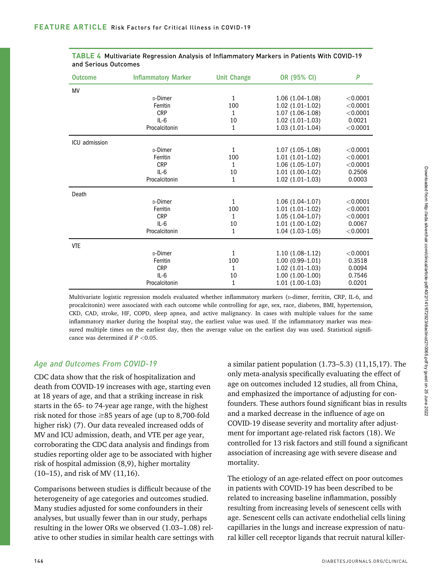| <b>Outcome</b> | <b>Inflammatory Marker</b> | <b>Unit Change</b> | OR (95% CI)       | P          |
|----------------|----------------------------|--------------------|-------------------|------------|
| MV             |                            |                    |                   |            |
|                | <sub>D</sub> -Dimer        | 1                  | $1.06(1.04-1.08)$ | $<$ 0.0001 |
|                | Ferritin                   | 100                | $1.02(1.01-1.02)$ | $<$ 0.0001 |
|                | <b>CRP</b>                 | 1                  | $1.07(1.06-1.08)$ | $<$ 0.0001 |
|                | $IL-6$                     | 10                 | $1.02(1.01-1.03)$ | 0.0021     |
|                | Procalcitonin              | 1                  | $1.03(1.01-1.04)$ | < 0.0001   |
| ICU admission  |                            |                    |                   |            |
|                | <sub>D</sub> -Dimer        | 1                  | $1.07(1.05-1.08)$ | $<$ 0.0001 |
|                | Ferritin                   | 100                | $1.01(1.01-1.02)$ | $<$ 0.0001 |
|                | <b>CRP</b>                 | 1                  | $1.06(1.05-1.07)$ | $<$ 0.0001 |
|                | $IL-6$                     | 10                 | $1.01(1.00-1.02)$ | 0.2506     |
|                | Procalcitonin              | 1                  | $1.02(1.01-1.03)$ | 0.0003     |
| Death          |                            |                    |                   |            |
|                | <sub>D</sub> -Dimer        | $\mathbf{1}$       | $1.06(1.04-1.07)$ | $<$ 0.0001 |
|                | Ferritin                   | 100                | $1.01(1.01-1.02)$ | $<$ 0.0001 |
|                | <b>CRP</b>                 | 1                  | $1.05(1.04-1.07)$ | $<$ 0.0001 |
|                | $IL-6$                     | 10                 | $1.01(1.00-1.02)$ | 0.0067     |
|                | Procalcitonin              | 1                  | $1.04(1.03-1.05)$ | < 0.0001   |
| <b>VTE</b>     |                            |                    |                   |            |
|                | <sub>D</sub> -Dimer        | $\mathbf{1}$       | $1.10(1.08-1.12)$ | $<$ 0.0001 |
|                | Ferritin                   | 100                | $1.00(0.99-1.01)$ | 0.3518     |
|                | <b>CRP</b>                 | 1                  | $1.02(1.01-1.03)$ | 0.0094     |
|                | $IL-6$                     | 10                 | $1.00(1.00-1.00)$ | 0.7546     |
|                | Procalcitonin              | 1                  | $1.01(1.00-1.03)$ | 0.0201     |

#### TABLE 4 Multivariate Regression Analysis of Inflammatory Markers in Patients With COVID-19 and Serious Outcomes

Multivariate logistic regression models evaluated whether inflammatory markers (p-dimer, ferritin, CRP, IL-6, and procalcitonin) were associated with each outcome while controlling for age, sex, race, diabetes, BMI, hypertension, CKD, CAD, stroke, HF, COPD, sleep apnea, and active malignancy. In cases with multiple values for the same inflammatory marker during the hospital stay, the earliest value was used. If the inflammatory marker was measured multiple times on the earliest day, then the average value on the earliest day was used. Statistical significance was determined if  $P < 0.05$ .

# Age and Outcomes From COVID-19

CDC data show that the risk of hospitalization and death from COVID-19 increases with age, starting even at 18 years of age, and that a striking increase in risk starts in the 65- to 74-year age range, with the highest risk noted for those  $\geq$ 85 years of age (up to 8,700-fold higher risk) (7). Our data revealed increased odds of MV and ICU admission, death, and VTE per age year, corroborating the CDC data analysis and findings from studies reporting older age to be associated with higher risk of hospital admission (8,9), higher mortality (10–15), and risk of MV (11,16).

Comparisons between studies is difficult because of the heterogeneity of age categories and outcomes studied. Many studies adjusted for some confounders in their analyses, but usually fewer than in our study, perhaps resulting in the lower ORs we observed (1.03–1.08) relative to other studies in similar health care settings with a similar patient population (1.73–5.3) (11,15,17). The only meta-analysis specifically evaluating the effect of age on outcomes included 12 studies, all from China, and emphasized the importance of adjusting for confounders. These authors found significant bias in results and a marked decrease in the influence of age on COVID-19 disease severity and mortality after adjustment for important age-related risk factors (18). We controlled for 13 risk factors and still found a significant association of increasing age with severe disease and mortality.

The etiology of an age-related effect on poor outcomes in patients with COVID-19 has been described to be related to increasing baseline inflammation, possibly resulting from increasing levels of senescent cells with age. Senescent cells can activate endothelial cells lining capillaries in the lungs and increase expression of natural killer cell receptor ligands that recruit natural killer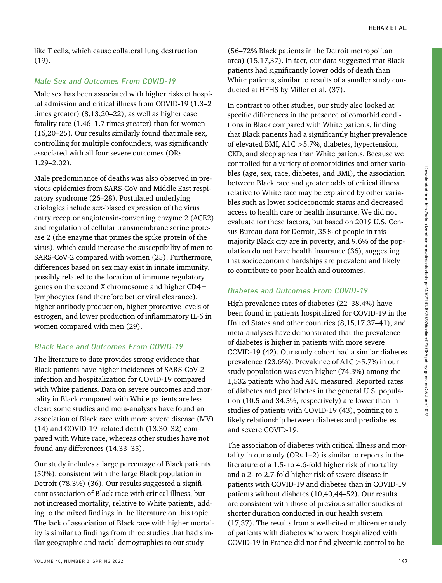like T cells, which cause collateral lung destruction (19).

# Male Sex and Outcomes From COVID-19

Male sex has been associated with higher risks of hospital admission and critical illness from COVID-19 (1.3–2 times greater) (8,13,20–22), as well as higher case fatality rate (1.46–1.7 times greater) than for women (16,20–25). Our results similarly found that male sex, controlling for multiple confounders, was significantly associated with all four severe outcomes (ORs 1.29–2.02).

Male predominance of deaths was also observed in previous epidemics from SARS-CoV and Middle East respiratory syndrome (26–28). Postulated underlying etiologies include sex-biased expression of the virus entry receptor angiotensin-converting enzyme 2 (ACE2) and regulation of cellular transmembrane serine protease 2 (the enzyme that primes the spike protein of the virus), which could increase the susceptibility of men to SARS-CoV-2 compared with women (25). Furthermore, differences based on sex may exist in innate immunity, possibly related to the location of immune regulatory genes on the second X chromosome and higher  $CD4+$ lymphocytes (and therefore better viral clearance), higher antibody production, higher protective levels of estrogen, and lower production of inflammatory IL-6 in women compared with men (29).

# Black Race and Outcomes From COVID-19

The literature to date provides strong evidence that Black patients have higher incidences of SARS-CoV-2 infection and hospitalization for COVID-19 compared with White patients. Data on severe outcomes and mortality in Black compared with White patients are less clear; some studies and meta-analyses have found an association of Black race with more severe disease (MV) (14) and COVID-19–related death (13,30–32) compared with White race, whereas other studies have not found any differences (14,33–35).

Our study includes a large percentage of Black patients (50%), consistent with the large Black population in Detroit (78.3%) (36). Our results suggested a significant association of Black race with critical illness, but not increased mortality, relative to White patients, adding to the mixed findings in the literature on this topic. The lack of association of Black race with higher mortality is similar to findings from three studies that had similar geographic and racial demographics to our study

In contrast to other studies, our study also looked at specific differences in the presence of comorbid conditions in Black compared with White patients, finding that Black patients had a significantly higher prevalence of elevated BMI, A1C >5.7%, diabetes, hypertension, CKD, and sleep apnea than White patients. Because we controlled for a variety of comorbidities and other variables (age, sex, race, diabetes, and BMI), the association between Black race and greater odds of critical illness relative to White race may be explained by other variables such as lower socioeconomic status and decreased access to health care or health insurance. We did not evaluate for these factors, but based on 2019 U.S. Census Bureau data for Detroit, 35% of people in this majority Black city are in poverty, and 9.6% of the population do not have health insurance (36), suggesting that socioeconomic hardships are prevalent and likely to contribute to poor health and outcomes.

# Diabetes and Outcomes From COVID-19

High prevalence rates of diabetes (22–38.4%) have been found in patients hospitalized for COVID-19 in the United States and other countries (8,15,17,37–41), and meta-analyses have demonstrated that the prevalence of diabetes is higher in patients with more severe COVID-19 (42). Our study cohort had a similar diabetes prevalence (23.6%). Prevalence of A1C >5.7% in our study population was even higher (74.3%) among the 1,532 patients who had A1C measured. Reported rates of diabetes and prediabetes in the general U.S. population (10.5 and 34.5%, respectively) are lower than in studies of patients with COVID-19 (43), pointing to a likely relationship between diabetes and prediabetes and severe COVID-19.

The association of diabetes with critical illness and mortality in our study (ORs 1–2) is similar to reports in the literature of a 1.5- to 4.6-fold higher risk of mortality and a 2- to 2.7-fold higher risk of severe disease in patients with COVID-19 and diabetes than in COVID-19 patients without diabetes (10,40,44–52). Our results are consistent with those of previous smaller studies of shorter duration conducted in our health system (17,37). The results from a well-cited multicenter study of patients with diabetes who were hospitalized with COVID-19 in France did not find glycemic control to be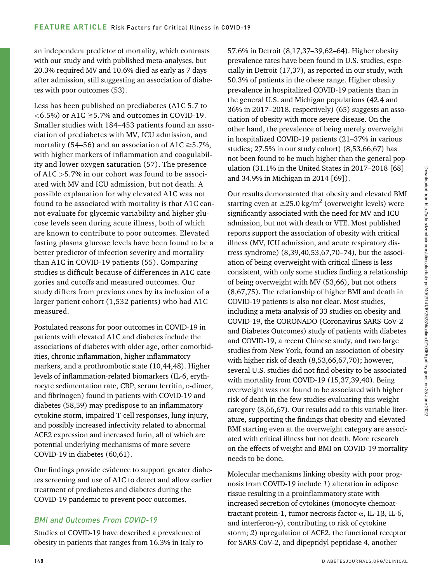an independent predictor of mortality, which contrasts with our study and with published meta-analyses, but 20.3% required MV and 10.6% died as early as 7 days after admission, still suggesting an association of diabetes with poor outcomes (53).

Less has been published on prediabetes (A1C 5.7 to  $\langle 6.5\% \rangle$  or A1C  $\geq$ 5.7% and outcomes in COVID-19. Smaller studies with 184–453 patients found an association of prediabetes with MV, ICU admission, and mortality (54–56) and an association of A1C  $\geq$ 5.7%, with higher markers of inflammation and coagulability and lower oxygen saturation (57). The presence of A1C >5.7% in our cohort was found to be associated with MV and ICU admission, but not death. A possible explanation for why elevated A1C was not found to be associated with mortality is that A1C cannot evaluate for glycemic variability and higher glucose levels seen during acute illness, both of which are known to contribute to poor outcomes. Elevated fasting plasma glucose levels have been found to be a better predictor of infection severity and mortality than A1C in COVID-19 patients (55). Comparing studies is difficult because of differences in A1C categories and cutoffs and measured outcomes. Our study differs from previous ones by its inclusion of a larger patient cohort (1,532 patients) who had A1C measured.

Postulated reasons for poor outcomes in COVID-19 in patients with elevated A1C and diabetes include the associations of diabetes with older age, other comorbidities, chronic inflammation, higher inflammatory markers, and a prothrombotic state (10,44,48). Higher levels of inflammation-related biomarkers (IL-6, erythrocyte sedimentation rate, CRP, serum ferritin, D-dimer, and fibrinogen) found in patients with COVID-19 and diabetes (58,59) may predispose to an inflammatory cytokine storm, impaired T-cell responses, lung injury, and possibly increased infectivity related to abnormal ACE2 expression and increased furin, all of which are potential underlying mechanisms of more severe COVID-19 in diabetes (60,61).

Our findings provide evidence to support greater diabetes screening and use of A1C to detect and allow earlier treatment of prediabetes and diabetes during the COVID-19 pandemic to prevent poor outcomes.

# BMI and Outcomes From COVID-19

Studies of COVID-19 have described a prevalence of obesity in patients that ranges from 16.3% in Italy to

57.6% in Detroit (8,17,37–39,62–64). Higher obesity prevalence rates have been found in U.S. studies, especially in Detroit (17,37), as reported in our study, with 50.3% of patients in the obese range. Higher obesity prevalence in hospitalized COVID-19 patients than in the general U.S. and Michigan populations (42.4 and 36% in 2017–2018, respectively) (65) suggests an association of obesity with more severe disease. On the other hand, the prevalence of being merely overweight in hospitalized COVID-19 patients (21–37% in various studies; 27.5% in our study cohort) (8,53,66,67) has not been found to be much higher than the general population (31.1% in the United States in 2017–2018 [68] and 34.9% in Michigan in 2014 [69]).

Our results demonstrated that obesity and elevated BMI starting even at  $\geq$ 25.0 kg/m<sup>2</sup> (overweight levels) were significantly associated with the need for MV and ICU admission, but not with death or VTE. Most published reports support the association of obesity with critical illness (MV, ICU admission, and acute respiratory distress syndrome) (8,39,40,53,67,70–74), but the association of being overweight with critical illness is less consistent, with only some studies finding a relationship of being overweight with MV (53,66), but not others (8,67,75). The relationship of higher BMI and death in COVID-19 patients is also not clear. Most studies, including a meta-analysis of 33 studies on obesity and COVID-19, the CORONADO (Coronavirus SARS-CoV-2 and Diabetes Outcomes) study of patients with diabetes and COVID-19, a recent Chinese study, and two large studies from New York, found an association of obesity with higher risk of death (8,53,66,67,70); however, several U.S. studies did not find obesity to be associated with mortality from COVID-19 (15,37,39,40). Being overweight was not found to be associated with higher risk of death in the few studies evaluating this weight category (8,66,67). Our results add to this variable literature, supporting the findings that obesity and elevated BMI starting even at the overweight category are associated with critical illness but not death. More research on the effects of weight and BMI on COVID-19 mortality needs to be done.

Molecular mechanisms linking obesity with poor prognosis from COVID-19 include 1) alteration in adipose tissue resulting in a proinflammatory state with increased secretion of cytokines (monocyte chemoattractant protein-1, tumor necrosis factor- $\alpha$ , IL-1 $\beta$ , IL-6, and interferon- $\gamma$ ), contributing to risk of cytokine storm; 2) upregulation of ACE2, the functional receptor for SARS-CoV-2, and dipeptidyl peptidase 4, another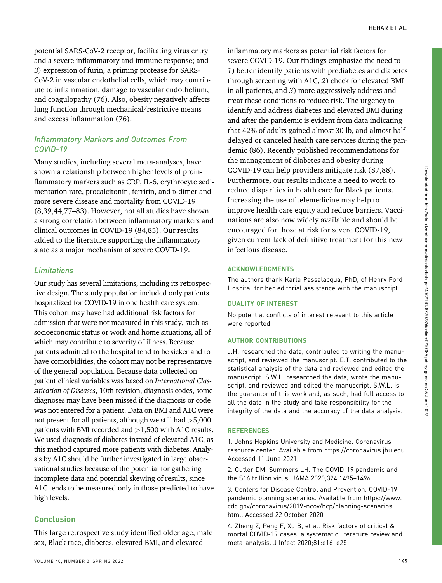potential SARS-CoV-2 receptor, facilitating virus entry and a severe inflammatory and immune response; and 3) expression of furin, a priming protease for SARS-CoV-2 in vascular endothelial cells, which may contribute to inflammation, damage to vascular endothelium, and coagulopathy (76). Also, obesity negatively affects lung function through mechanical/restrictive means and excess inflammation (76).

## Inflammatory Markers and Outcomes From COVID-19

Many studies, including several meta-analyses, have shown a relationship between higher levels of proinflammatory markers such as CRP, IL-6, erythrocyte sedimentation rate, procalcitonin, ferritin, and p-dimer and more severe disease and mortality from COVID-19 (8,39,44,77–83). However, not all studies have shown a strong correlation between inflammatory markers and clinical outcomes in COVID-19 (84,85). Our results added to the literature supporting the inflammatory state as a major mechanism of severe COVID-19.

#### Limitations

Our study has several limitations, including its retrospective design. The study population included only patients hospitalized for COVID-19 in one health care system. This cohort may have had additional risk factors for admission that were not measured in this study, such as socioeconomic status or work and home situations, all of which may contribute to severity of illness. Because patients admitted to the hospital tend to be sicker and to have comorbidities, the cohort may not be representative of the general population. Because data collected on patient clinical variables was based on International Classification of Diseases, 10th revision, diagnosis codes, some diagnoses may have been missed if the diagnosis or code was not entered for a patient. Data on BMI and A1C were not present for all patients, although we still had  $>5,000$ patients with BMI recorded and >1,500 with A1C results. We used diagnosis of diabetes instead of elevated A1C, as this method captured more patients with diabetes. Analysis by A1C should be further investigated in large observational studies because of the potential for gathering incomplete data and potential skewing of results, since A1C tends to be measured only in those predicted to have high levels.

#### Conclusion

This large retrospective study identified older age, male sex, Black race, diabetes, elevated BMI, and elevated

inflammatory markers as potential risk factors for severe COVID-19. Our findings emphasize the need to 1) better identify patients with prediabetes and diabetes through screening with A1C, 2) check for elevated BMI in all patients, and 3) more aggressively address and treat these conditions to reduce risk. The urgency to identify and address diabetes and elevated BMI during and after the pandemic is evident from data indicating that 42% of adults gained almost 30 lb, and almost half delayed or canceled health care services during the pandemic (86). Recently published recommendations for the management of diabetes and obesity during COVID-19 can help providers mitigate risk (87,88). Furthermore, our results indicate a need to work to reduce disparities in health care for Black patients. Increasing the use of telemedicine may help to improve health care equity and reduce barriers. Vaccinations are also now widely available and should be encouraged for those at risk for severe COVID-19, given current lack of definitive treatment for this new infectious disease.

#### ACKNOWLEDGMENTS

The authors thank Karla Passalacqua, PhD, of Henry Ford Hospital for her editorial assistance with the manuscript.

#### DUALITY OF INTEREST

No potential conflicts of interest relevant to this article were reported.

#### AUTHOR CONTRIBUTIONS

J.H. researched the data, contributed to writing the manuscript, and reviewed the manuscript. E.T. contributed to the statistical analysis of the data and reviewed and edited the manuscript. S.W.L. researched the data, wrote the manuscript, and reviewed and edited the manuscript. S.W.L. is the guarantor of this work and, as such, had full access to all the data in the study and take responsibility for the integrity of the data and the accuracy of the data analysis.

#### **REFERENCES**

1. Johns Hopkins University and Medicine. Coronavirus resource center. Available from [https://coronavirus.jhu.edu.](https://coronavirus.jhu.edu) Accessed 11 June 2021

2. Cutler DM, Summers LH. The COVID-19 pandemic and the \$16 trillion virus. JAMA 2020;324:1495–1496

3. Centers for Disease Control and Prevention. COVID-19 pandemic planning scenarios. Available from [https://www.](https://www.cdc.gov/coronavirus/2019-ncov/hcp/planning-scenarios.html) [cdc.gov/coronavirus/2019-ncov/hcp/planning-scenarios.](https://www.cdc.gov/coronavirus/2019-ncov/hcp/planning-scenarios.html) [html](https://www.cdc.gov/coronavirus/2019-ncov/hcp/planning-scenarios.html). Accessed 22 October 2020

4. Zheng Z, Peng F, Xu B, et al. Risk factors of critical & mortal COVID-19 cases: a systematic literature review and meta-analysis. J Infect 2020;81:e16–e25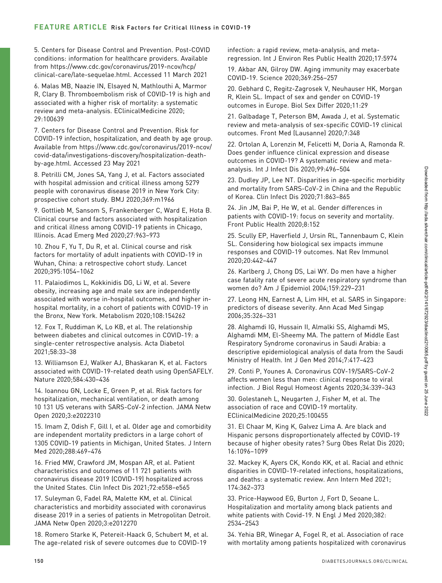5. Centers for Disease Control and Prevention. Post-COVID conditions: information for healthcare providers. Available from [https://www.cdc.gov/coronavirus/2019-ncov/hcp/](https://www.cdc.gov/coronavirus/2019-ncov/hcp/clinical-care/late-sequelae.html) [clinical-care/late-sequelae.html.](https://www.cdc.gov/coronavirus/2019-ncov/hcp/clinical-care/late-sequelae.html) Accessed 11 March 2021

6. Malas MB, Naazie IN, Elsayed N, Mathlouthi A, Marmor R, Clary B. Thromboembolism risk of COVID-19 is high and associated with a higher risk of mortality: a systematic review and meta-analysis. EClinicalMedicine 2020; 29:100639

7. Centers for Disease Control and Prevention. Risk for COVID-19 infection, hospitalization, and death by age group. Available from [https://www.cdc.gov/coronavirus/2019-ncov/](https://www.cdc.gov/coronavirus/2019-ncov/covid-data/investigations-discovery/hospitalization-death-by-age.html) [covid-data/investigations-discovery/hospitalization-death](https://www.cdc.gov/coronavirus/2019-ncov/covid-data/investigations-discovery/hospitalization-death-by-age.html)[by-age.html.](https://www.cdc.gov/coronavirus/2019-ncov/covid-data/investigations-discovery/hospitalization-death-by-age.html) Accessed 23 May 2021

8. Petrilli CM, Jones SA, Yang J, et al. Factors associated with hospital admission and critical illness among 5279 people with coronavirus disease 2019 in New York City: prospective cohort study. BMJ 2020;369:m1966

9. Gottlieb M, Sansom S, Frankenberger C, Ward E, Hota B. Clinical course and factors associated with hospitalization and critical illness among COVID-19 patients in Chicago, Illinois. Acad Emerg Med 2020;27:963–973

10. Zhou F, Yu T, Du R, et al. Clinical course and risk factors for mortality of adult inpatients with COVID-19 in Wuhan, China: a retrospective cohort study. Lancet 2020;395:1054–1062

11. Palaiodimos L, Kokkinidis DG, Li W, et al. Severe obesity, increasing age and male sex are independently associated with worse in-hospital outcomes, and higher inhospital mortality, in a cohort of patients with COVID-19 in the Bronx, New York. Metabolism 2020;108:154262

12. Fox T, Ruddiman K, Lo KB, et al. The relationship between diabetes and clinical outcomes in COVID-19: a single-center retrospective analysis. Acta Diabetol 2021;58:33–38

13. Williamson EJ, Walker AJ, Bhaskaran K, et al. Factors associated with COVID-19-related death using OpenSAFELY. Nature 2020;584:430–436

14. Ioannou GN, Locke E, Green P, et al. Risk factors for hospitalization, mechanical ventilation, or death among 10 131 US veterans with SARS-CoV-2 infection. JAMA Netw Open 2020;3:e2022310

15. Imam Z, Odish F, Gill I, et al. Older age and comorbidity are independent mortality predictors in a large cohort of 1305 COVID-19 patients in Michigan, United States. J Intern Med 2020;288:469–476

16. Fried MW, Crawford JM, Mospan AR, et al. Patient characteristics and outcomes of 11 721 patients with coronavirus disease 2019 (COVID-19) hospitalized across the United States. Clin Infect Dis 2021;72:e558–e565

17. Suleyman G, Fadel RA, Malette KM, et al. Clinical characteristics and morbidity associated with coronavirus disease 2019 in a series of patients in Metropolitan Detroit. JAMA Netw Open 2020;3:e2012270

18. Romero Starke K, Petereit-Haack G, Schubert M, et al. The age-related risk of severe outcomes due to COVID-19

infection: a rapid review, meta-analysis, and metaregression. Int J Environ Res Public Health 2020;17:5974

19. Akbar AN, Gilroy DW. Aging immunity may exacerbate COVID-19. Science 2020;369:256–257

20. Gebhard C, Regitz-Zagrosek V, Neuhauser HK, Morgan R, Klein SL. Impact of sex and gender on COVID-19 outcomes in Europe. Biol Sex Differ 2020;11:29

21. Galbadage T, Peterson BM, Awada J, et al. Systematic review and meta-analysis of sex-specific COVID-19 clinical outcomes. Front Med (Lausanne) 2020;7:348

22. Ortolan A, Lorenzin M, Felicetti M, Doria A, Ramonda R. Does gender influence clinical expression and disease outcomes in COVID-19? A systematic review and metaanalysis. Int J Infect Dis 2020;99:496–504

23. Dudley JP, Lee NT. Disparities in age-specific morbidity and mortality from SARS-CoV-2 in China and the Republic of Korea. Clin Infect Dis 2020;71:863–865

24. Jin JM, Bai P, He W, et al. Gender differences in patients with COVID-19: focus on severity and mortality. Front Public Health 2020;8:152

25. Scully EP, Haverfield J, Ursin RL, Tannenbaum C, Klein SL. Considering how biological sex impacts immune responses and COVID-19 outcomes. Nat Rev Immunol 2020;20:442–447

26. Karlberg J, Chong DS, Lai WY. Do men have a higher case fatality rate of severe acute respiratory syndrome than women do? Am J Epidemiol 2004;159:229–231

27. Leong HN, Earnest A, Lim HH, et al. SARS in Singapore: predictors of disease severity. Ann Acad Med Singap 2006;35:326–331

28. Alghamdi IG, Hussain II, Almalki SS, Alghamdi MS, Alghamdi MM, El-Sheemy MA. The pattern of Middle East Respiratory Syndrome coronavirus in Saudi Arabia: a descriptive epidemiological analysis of data from the Saudi Ministry of Health. Int J Gen Med 2014;7:417–423

29. Conti P, Younes A. Coronavirus COV-19/SARS-CoV-2 affects women less than men: clinical response to viral infection. J Biol Regul Homeost Agents 2020;34:339–343

30. Golestaneh L, Neugarten J, Fisher M, et al. The association of race and COVID-19 mortality. EClinicalMedicine 2020;25:100455

31. El Chaar M, King K, Galvez Lima A. Are black and Hispanic persons disproportionately affected by COVID-19 because of higher obesity rates? Surg Obes Relat Dis 2020; 16:1096–1099

32. Mackey K, Ayers CK, Kondo KK, et al. Racial and ethnic disparities in COVID-19-related infections, hospitalizations, and deaths: a systematic review. Ann Intern Med 2021; 174:362–373

33. Price-Haywood EG, Burton J, Fort D, Seoane L. Hospitalization and mortality among black patients and white patients with Covid-19. N Engl J Med 2020;382: 2534–2543

34. Yehia BR, Winegar A, Fogel R, et al. Association of race with mortality among patients hospitalized with coronavirus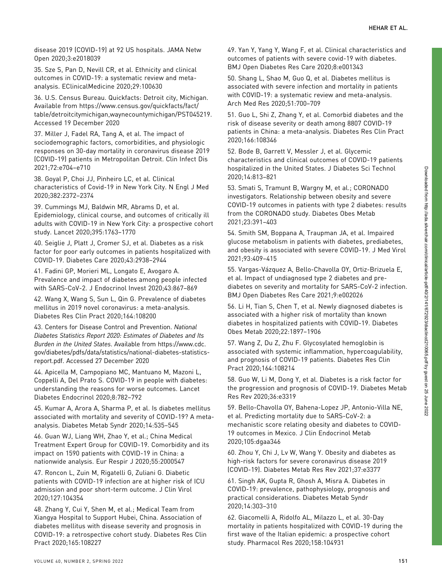disease 2019 (COVID-19) at 92 US hospitals. JAMA Netw Open 2020;3:e2018039

35. Sze S, Pan D, Nevill CR, et al. Ethnicity and clinical outcomes in COVID-19: a systematic review and metaanalysis. EClinicalMedicine 2020;29:100630

36. U.S. Census Bureau. Quickfacts: Detroit city, Michigan. Available from [https://www.census.gov/quickfacts/fact/](https://www.census.gov/quickfacts/fact/table/detroitcitymichigan,waynecountymichigan/PST045219) [table/detroitcitymichigan,waynecountymichigan/PST045219.](https://www.census.gov/quickfacts/fact/table/detroitcitymichigan,waynecountymichigan/PST045219) Accessed 19 December 2020

37. Miller J, Fadel RA, Tang A, et al. The impact of sociodemographic factors, comorbidities, and physiologic responses on 30-day mortality in coronavirus disease 2019 (COVID-19) patients in Metropolitan Detroit. Clin Infect Dis 2021;72:e704–e710

38. Goyal P, Choi JJ, Pinheiro LC, et al. Clinical characteristics of Covid-19 in New York City. N Engl J Med 2020;382:2372–2374

39. Cummings MJ, Baldwin MR, Abrams D, et al. Epidemiology, clinical course, and outcomes of critically ill adults with COVID-19 in New York City: a prospective cohort study. Lancet 2020;395:1763–1770

40. Seiglie J, Platt J, Cromer SJ, et al. Diabetes as a risk factor for poor early outcomes in patients hospitalized with COVID-19. Diabetes Care 2020;43:2938–2944

41. Fadini GP, Morieri ML, Longato E, Avogaro A. Prevalence and impact of diabetes among people infected with SARS-CoV-2. J Endocrinol Invest 2020;43:867–869

42. Wang X, Wang S, Sun L, Qin G. Prevalence of diabetes mellitus in 2019 novel coronavirus: a meta-analysis. Diabetes Res Clin Pract 2020;164:108200

43. Centers for Disease Control and Prevention. National Diabetes Statistics Report 2020: Estimates of Diabetes and Its Burden in the United States. Available from [https://www.cdc.](https://www.cdc.gov/diabetes/pdfs/data/statistics/national-diabetes-statistics-report.pdf) [gov/diabetes/pdfs/data/statistics/national-diabetes-statistics](https://www.cdc.gov/diabetes/pdfs/data/statistics/national-diabetes-statistics-report.pdf)[report.pdf](https://www.cdc.gov/diabetes/pdfs/data/statistics/national-diabetes-statistics-report.pdf). Accessed 27 December 2020

44. Apicella M, Campopiano MC, Mantuano M, Mazoni L, Coppelli A, Del Prato S. COVID-19 in people with diabetes: understanding the reasons for worse outcomes. Lancet Diabetes Endocrinol 2020;8:782–792

45. Kumar A, Arora A, Sharma P, et al. Is diabetes mellitus associated with mortality and severity of COVID-19? A metaanalysis. Diabetes Metab Syndr 2020;14:535–545

46. Guan WJ, Liang WH, Zhao Y, et al.; China Medical Treatment Expert Group for COVID-19. Comorbidity and its impact on 1590 patients with COVID-19 in China: a nationwide analysis. Eur Respir J 2020;55:2000547

47. Roncon L, Zuin M, Rigatelli G, Zuliani G. Diabetic patients with COVID-19 infection are at higher risk of ICU admission and poor short-term outcome. J Clin Virol 2020;127:104354

48. Zhang Y, Cui Y, Shen M, et al.; Medical Team from Xiangya Hospital to Support Hubei, China. Association of diabetes mellitus with disease severity and prognosis in COVID-19: a retrospective cohort study. Diabetes Res Clin Pract 2020;165:108227

49. Yan Y, Yang Y, Wang F, et al. Clinical characteristics and outcomes of patients with severe covid-19 with diabetes. BMJ Open Diabetes Res Care 2020;8:e001343

50. Shang L, Shao M, Guo Q, et al. Diabetes mellitus is associated with severe infection and mortality in patients with COVID-19: a systematic review and meta-analysis. Arch Med Res 2020;51:700–709

51. Guo L, Shi Z, Zhang Y, et al. Comorbid diabetes and the risk of disease severity or death among 8807 COVID-19 patients in China: a meta-analysis. Diabetes Res Clin Pract 2020;166:108346

52. Bode B, Garrett V, Messler J, et al. Glycemic characteristics and clinical outcomes of COVID-19 patients hospitalized in the United States. J Diabetes Sci Technol 2020;14:813–821

53. Smati S, Tramunt B, Wargny M, et al.; CORONADO investigators. Relationship between obesity and severe COVID-19 outcomes in patients with type 2 diabetes: results from the CORONADO study. Diabetes Obes Metab 2021;23:391–403

54. Smith SM, Boppana A, Traupman JA, et al. Impaired glucose metabolism in patients with diabetes, prediabetes, and obesity is associated with severe COVID-19. J Med Virol 2021;93:409–415

55. Vargas-Vazquez A, Bello-Chavolla OY, Ortiz-Brizuela E, et al. Impact of undiagnosed type 2 diabetes and prediabetes on severity and mortality for SARS-CoV-2 infection. BMJ Open Diabetes Res Care 2021;9:e002026

56. Li H, Tian S, Chen T, et al. Newly diagnosed diabetes is associated with a higher risk of mortality than known diabetes in hospitalized patients with COVID-19. Diabetes Obes Metab 2020;22:1897–1906

57. Wang Z, Du Z, Zhu F. Glycosylated hemoglobin is associated with systemic inflammation, hypercoagulability, and prognosis of COVID-19 patients. Diabetes Res Clin Pract 2020;164:108214

58. Guo W, Li M, Dong Y, et al. Diabetes is a risk factor for the progression and prognosis of COVID-19. Diabetes Metab Res Rev 2020;36:e3319

59. Bello-Chavolla OY, Bahena-Lopez JP, Antonio-Villa NE, et al. Predicting mortality due to SARS-CoV-2: a mechanistic score relating obesity and diabetes to COVID-19 outcomes in Mexico. J Clin Endocrinol Metab 2020;105:dgaa346

60. Zhou Y, Chi J, Lv W, Wang Y. Obesity and diabetes as high-risk factors for severe coronavirus disease 2019 (COVID-19). Diabetes Metab Res Rev 2021;37:e3377

61. Singh AK, Gupta R, Ghosh A, Misra A. Diabetes in COVID-19: prevalence, pathophysiology, prognosis and practical considerations. Diabetes Metab Syndr 2020;14:303–310

62. Giacomelli A, Ridolfo AL, Milazzo L, et al. 30-Day mortality in patients hospitalized with COVID-19 during the first wave of the Italian epidemic: a prospective cohort study. Pharmacol Res 2020;158:104931